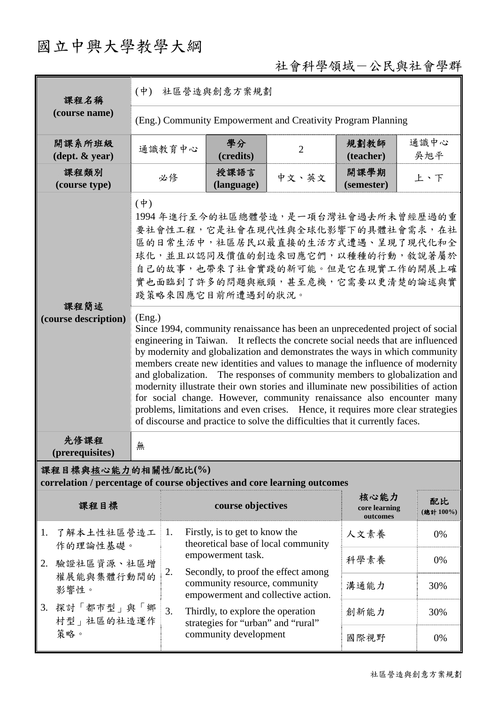# 國立中興大學教學大綱

## 社會科學領域-公民與社會學群

| 課程名稱                                                                                            | (中) 社區營造與創意方案規劃                                              |                                                                                                                                                                                                                                                                                                                                                                                                                                                                                                                                                                                                                                                                                                                                                                                                                                                                                                                                                                                                 |                |                                   |                |  |  |  |
|-------------------------------------------------------------------------------------------------|--------------------------------------------------------------|-------------------------------------------------------------------------------------------------------------------------------------------------------------------------------------------------------------------------------------------------------------------------------------------------------------------------------------------------------------------------------------------------------------------------------------------------------------------------------------------------------------------------------------------------------------------------------------------------------------------------------------------------------------------------------------------------------------------------------------------------------------------------------------------------------------------------------------------------------------------------------------------------------------------------------------------------------------------------------------------------|----------------|-----------------------------------|----------------|--|--|--|
| (course name)                                                                                   | (Eng.) Community Empowerment and Creativity Program Planning |                                                                                                                                                                                                                                                                                                                                                                                                                                                                                                                                                                                                                                                                                                                                                                                                                                                                                                                                                                                                 |                |                                   |                |  |  |  |
| 開課系所班級<br>$(\text{dept.} \& \text{ year})$                                                      | 通識教育中心                                                       | 學分<br>(credits)                                                                                                                                                                                                                                                                                                                                                                                                                                                                                                                                                                                                                                                                                                                                                                                                                                                                                                                                                                                 | $\overline{2}$ | 規劃教師<br>(teacher)                 | 通識中心<br>吳旭平    |  |  |  |
| 課程類別<br>(course type)                                                                           | 必修                                                           | 授課語言<br>(language)                                                                                                                                                                                                                                                                                                                                                                                                                                                                                                                                                                                                                                                                                                                                                                                                                                                                                                                                                                              | 中文、英文          | 開課學期<br>(semester)                | 上、下            |  |  |  |
| 課程簡述<br>(course description)                                                                    | $(\dagger)$<br>(Eng.)                                        | 1994年進行至今的社區總體營造,是一項台灣社會過去所未曾經歷過的重<br>要社會性工程,它是社會在現代性與全球化影響下的具體社會需求,在社<br>區的日常生活中,社區居民以最直接的生活方式遭遇、呈現了現代化和全<br>球化,並且以認同及價值的創造來回應它們,以種種的行動,敘說著屬於<br>自己的故事,也帶來了社會實踐的新可能。但是它在現實工作的開展上確<br>實也面臨到了許多的問題與瓶頸,甚至危機,它需要以更清楚的論述與實<br>踐策略來因應它目前所遭遇到的狀況。<br>Since 1994, community renaissance has been an unprecedented project of social<br>engineering in Taiwan. It reflects the concrete social needs that are influenced<br>by modernity and globalization and demonstrates the ways in which community<br>members create new identities and values to manage the influence of modernity<br>and globalization. The responses of community members to globalization and<br>modernity illustrate their own stories and illuminate new possibilities of action<br>for social change. However, community renaissance also encounter many<br>problems, limitations and even crises. Hence, it requires more clear strategies<br>of discourse and practice to solve the difficulties that it currently faces. |                |                                   |                |  |  |  |
| 先修課程<br>(prerequisites)                                                                         | 無                                                            |                                                                                                                                                                                                                                                                                                                                                                                                                                                                                                                                                                                                                                                                                                                                                                                                                                                                                                                                                                                                 |                |                                   |                |  |  |  |
| 課程目標與核心能力的相關性/配比(%)<br>correlation / percentage of course objectives and core learning outcomes |                                                              |                                                                                                                                                                                                                                                                                                                                                                                                                                                                                                                                                                                                                                                                                                                                                                                                                                                                                                                                                                                                 |                |                                   |                |  |  |  |
| 課程目標                                                                                            |                                                              | course objectives                                                                                                                                                                                                                                                                                                                                                                                                                                                                                                                                                                                                                                                                                                                                                                                                                                                                                                                                                                               |                | 核心能力<br>core learning<br>outcomes | 配比<br>(總計100%) |  |  |  |
| 了解本土性社區營造工<br>1.<br>作的理論性基礎。                                                                    | 1.                                                           | Firstly, is to get to know the<br>人文素養<br>theoretical base of local community                                                                                                                                                                                                                                                                                                                                                                                                                                                                                                                                                                                                                                                                                                                                                                                                                                                                                                                   |                |                                   | 0%             |  |  |  |
| 2. 驗證社區資源、社區增<br>權展能與集體行動間的                                                                     | 2.                                                           | empowerment task.<br>Secondly, to proof the effect among                                                                                                                                                                                                                                                                                                                                                                                                                                                                                                                                                                                                                                                                                                                                                                                                                                                                                                                                        |                | 科學素養                              | 0%             |  |  |  |
| 影響性。                                                                                            |                                                              | community resource, community<br>empowerment and collective action.                                                                                                                                                                                                                                                                                                                                                                                                                                                                                                                                                                                                                                                                                                                                                                                                                                                                                                                             |                |                                   | 30%            |  |  |  |
| 3. 探討「都市型」與「鄉<br>村型   社區的社造運作                                                                   | 3.                                                           | Thirdly, to explore the operation<br>strategies for "urban" and "rural"                                                                                                                                                                                                                                                                                                                                                                                                                                                                                                                                                                                                                                                                                                                                                                                                                                                                                                                         |                | 創新能力                              | 30%            |  |  |  |
| 策略。                                                                                             |                                                              | community development                                                                                                                                                                                                                                                                                                                                                                                                                                                                                                                                                                                                                                                                                                                                                                                                                                                                                                                                                                           | 國際視野           | 0%                                |                |  |  |  |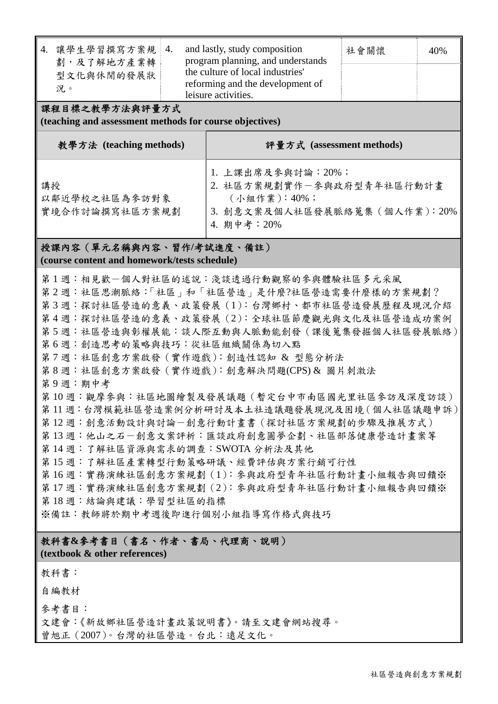| 4. | 讓學生學習撰寫方案規<br>劃,及了解地方產業轉<br>型文化與休閒的發展狀                                                                                  | 4.                  | and lastly, study composition<br>program planning, and understands<br>the culture of local industries'<br>reforming and the development of | 社會關懷 | 40% |  |
|----|-------------------------------------------------------------------------------------------------------------------------|---------------------|--------------------------------------------------------------------------------------------------------------------------------------------|------|-----|--|
|    | 况。                                                                                                                      | leisure activities. |                                                                                                                                            |      |     |  |
|    | $\mathbf{v} = \mathbf{v}$ and $\mathbf{v} = \mathbf{v}$ . It is the set of the set of $\mathbf{v} = \mathbf{v}$ . It is |                     |                                                                                                                                            |      |     |  |

課程目標之教學方法與評量方式

**(teaching and assessment methods for course objectives)** 

| 教學方法 (teaching methods)               | 評量方式 (assessment methods)                                                                                        |
|---------------------------------------|------------------------------------------------------------------------------------------------------------------|
| 講授<br>以鄰近學校之社區為參訪對象<br>實境合作討論撰寫社區方案規劃 | 1. 上課出席及參與討論: 20%;<br>2. 社區方案規劃實作一參與政府型青年社區行動計畫<br>(小組作業): 40%;<br>3. 創意文案及個人社區發展脈絡蒐集 (個人作業): 20%<br>4. 期中考: 20% |

#### 授課內容(單元名稱與內容、習作**/**考試進度、備註) **(course content and homework/tests schedule)**

第1週:相見歡一個人對社區的述說:淺談透過行動觀察的參與體驗社區多元采風 第2週:社區思潮脈絡:「社區」和「社區營造」是什麼?社區營造需要什麼樣的方案規劃? 第3週:探討社區營造的意義、政策發展 (1):台灣鄉村、都市社區營造發展歷程及現況介紹 第4週:探討社區營造的意義、政策發展(2):全球社區節慶觀光與文化及社區營造成功案例 第5週:社區營造與彰權展能:談人際互動與人脈動能創發(課後蒐集發掘個人社區發展脈絡) 第6週:創造思考的策略與技巧:從社區組織關係為切入點 第 7 週:社區創意方案啟發(實作遊戲):創造性認知 & 型態分析法 第8週:社區創意方案啟發(實作遊戲):創意解決問題(CPS)& 圖片刺激法 第 9 週:期中考 第 10 週:觀摩參與:社區地圖繪製及發展議題(暫定台中市南區國光里社區參訪及深度訪談) 第 11 週:台灣模範社區營造案例分析研討及本土社造議題發展現況及困境(個人社區議題申訴) 第 12 週:創意活動設計與討論-創意行動計畫書(探討社區方案規劃的步驟及推展方式) 第13週:他山之石一創意文案評析:匯談政府創意圓夢企劃、社區部落健康營造計書案等 第14 週:了解社區資源與需求的調查: SWOTA 分析法及其他 第 15 週:了解社區產業轉型行動策略研議、經費評估與方案行銷可行性 第16週:實務演練社區創意方案規劃(1):參與政府型青年社區行動計書小組報告與回饋※ 第17 週:實務演練社區創意方案規劃(2):參與政府型青年社區行動計畫小組報告與回饋※ 第 18 週:結論與建議:學習型社區的指標 ※備註:教師將於期中考週後即進行個別小組指導寫作格式與技巧

## 教科書**&**參考書目(書名、作者、書局、代理商、說明)

#### **(textbook & other references)**

#### 教科書:

自編教材

參考書目:

文建會:《新故鄉社區營造計畫政策說明書》。請至文建會網站搜尋。

曾旭正(2007)。台灣的社區營造。台北:遠足文化。